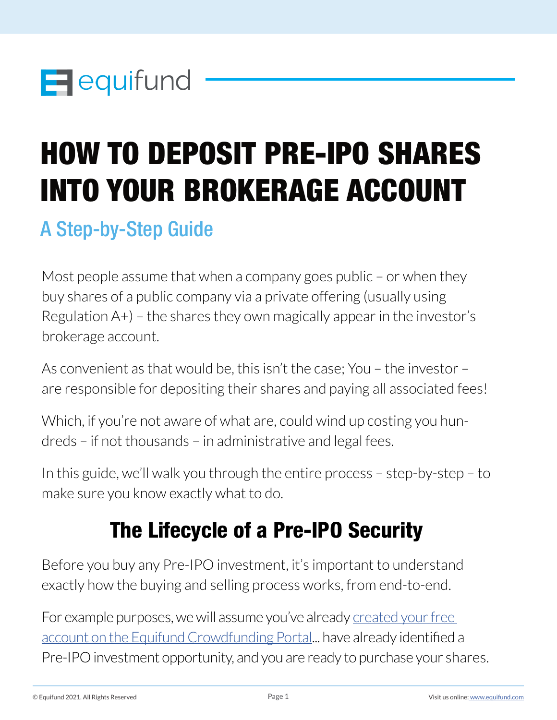

# HOW TO DEPOSIT PRE-IPO SHARES INTO YOUR BROKERAGE ACCOUNT

## A Step-by-Step Guide

Most people assume that when a company goes public – or when they buy shares of a public company via a private offering (usually using Regulation A+) – the shares they own magically appear in the investor's brokerage account.

As convenient as that would be, this isn't the case; You – the investor – are responsible for depositing their shares and paying all associated fees!

Which, if you're not aware of what are, could wind up costing you hundreds – if not thousands – in administrative and legal fees.

In this guide, we'll walk you through the entire process – step-by-step – to make sure you know exactly what to do.

# The Lifecycle of a Pre-IPO Security

Before you buy any Pre-IPO investment, it's important to understand exactly how the buying and selling process works, from end-to-end.

For example purposes, we will assume you've already [created your free](mailto:https://equifund.com/register/?subject=)  [account on the Equifund Crowdfunding Portal](mailto:https://equifund.com/register/?subject=)... have already identified a Pre-IPO investment opportunity, and you are ready to purchase your shares.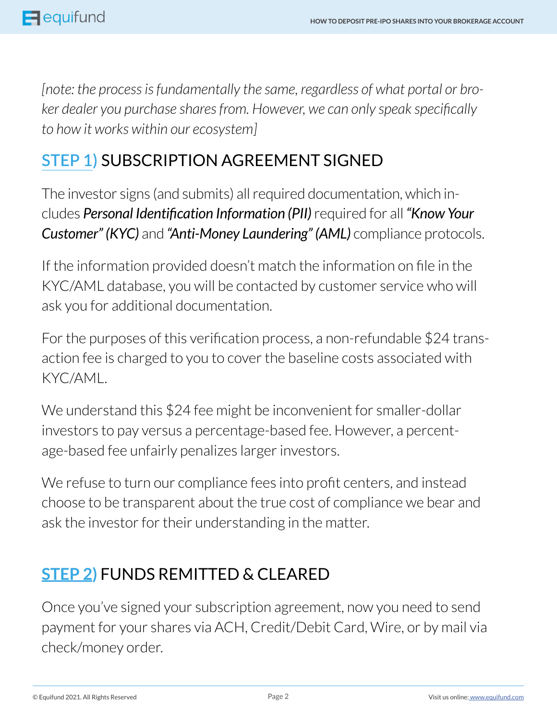*[note: the process is fundamentally the same, regardless of what portal or broker dealer you purchase shares from. However, we can only speak specifically to how it works within our ecosystem]*

## **STEP 1)** SUBSCRIPTION AGREEMENT SIGNED

The investor signs (and submits) all required documentation, which includes *Personal Identification Information (PII)* required for all *"Know Your Customer" (KYC)* and *"Anti-Money Laundering" (AML)* compliance protocols.

If the information provided doesn't match the information on file in the KYC/AML database, you will be contacted by customer service who will ask you for additional documentation.

For the purposes of this verification process, a non-refundable \$24 transaction fee is charged to you to cover the baseline costs associated with KYC/AML.

We understand this \$24 fee might be inconvenient for smaller-dollar investors to pay versus a percentage-based fee. However, a percentage-based fee unfairly penalizes larger investors.

We refuse to turn our compliance fees into profit centers, and instead choose to be transparent about the true cost of compliance we bear and ask the investor for their understanding in the matter.

#### **STEP 2)** FUNDS REMITTED & CLEARED

Once you've signed your subscription agreement, now you need to send payment for your shares via ACH, Credit/Debit Card, Wire, or by mail via check/money order.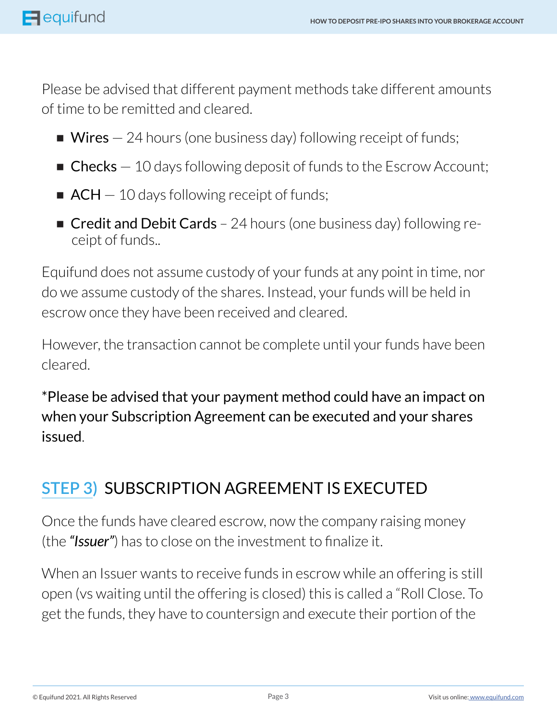Please be advised that different payment methods take different amounts of time to be remitted and cleared.

- $\blacksquare$  Wires  $-$  24 hours (one business day) following receipt of funds;
- **Checks**  $-10$  days following deposit of funds to the Escrow Account;
- $\blacksquare$  ACH  $-$  10 days following receipt of funds;
- **Credit and Debit Cards** 24 hours (one business day) following receipt of funds..

Equifund does not assume custody of your funds at any point in time, nor do we assume custody of the shares. Instead, your funds will be held in escrow once they have been received and cleared.

However, the transaction cannot be complete until your funds have been cleared.

\*Please be advised that your payment method could have an impact on when your Subscription Agreement can be executed and your shares issued.

## **STEP 3)** SUBSCRIPTION AGREEMENT IS EXECUTED

Once the funds have cleared escrow, now the company raising money (the *"Issuer"*) has to close on the investment to finalize it.

When an Issuer wants to receive funds in escrow while an offering is still open (vs waiting until the offering is closed) this is called a "Roll Close. To get the funds, they have to countersign and execute their portion of the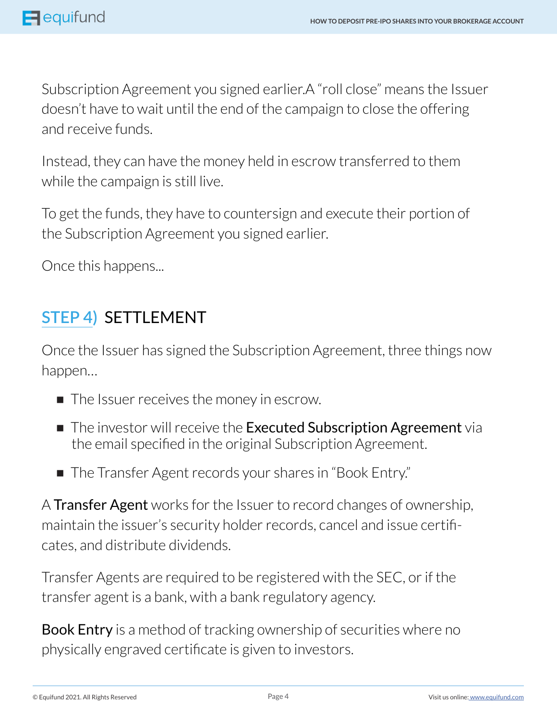Subscription Agreement you signed earlier.A "roll close" means the Issuer doesn't have to wait until the end of the campaign to close the offering and receive funds.

Instead, they can have the money held in escrow transferred to them while the campaign is still live.

To get the funds, they have to countersign and execute their portion of the Subscription Agreement you signed earlier.

Once this happens...

## **STEP 4)** SETTLEMENT

Once the Issuer has signed the Subscription Agreement, three things now happen…

- The Issuer receives the money in escrow.
- The investor will receive the Executed Subscription Agreement via the email specified in the original Subscription Agreement.
- The Transfer Agent records your shares in "Book Entry."

A Transfer Agent works for the Issuer to record changes of ownership, maintain the issuer's security holder records, cancel and issue certificates, and distribute dividends.

Transfer Agents are required to be registered with the SEC, or if the transfer agent is a bank, with a bank regulatory agency.

**Book Entry** is a method of tracking ownership of securities where no physically engraved certificate is given to investors.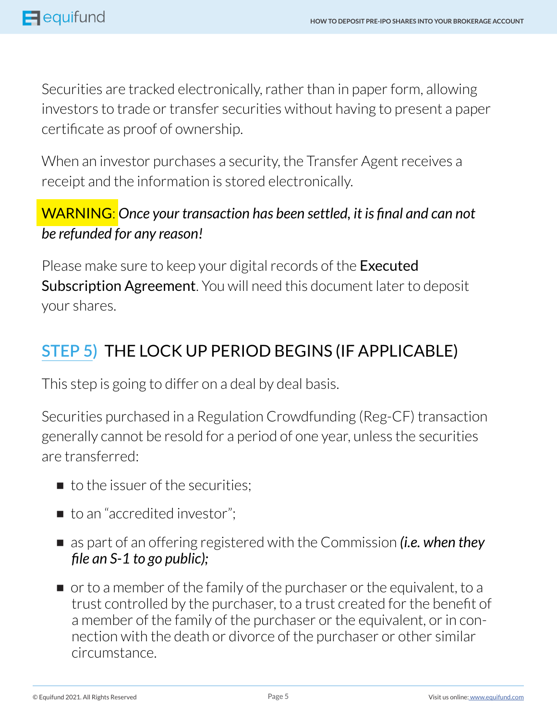Securities are tracked electronically, rather than in paper form, allowing investors to trade or transfer securities without having to present a paper certificate as proof of ownership.

When an investor purchases a security, the Transfer Agent receives a receipt and the information is stored electronically.

#### WARNING: *Once your transaction has been settled, it is final and can not be refunded for any reason!*

Please make sure to keep your digital records of the **Executed** Subscription Agreement. You will need this document later to deposit your shares.

## **STEP 5)** THE LOCK UP PERIOD BEGINS (IF APPLICABLE)

This step is going to differ on a deal by deal basis.

Securities purchased in a Regulation Crowdfunding (Reg-CF) transaction generally cannot be resold for a period of one year, unless the securities are transferred:

- to the issuer of the securities:
- to an "accredited investor";
- as part of an offering registered with the Commission *(i.e. when they file an S-1 to go public);*
- or to a member of the family of the purchaser or the equivalent, to a trust controlled by the purchaser, to a trust created for the benefit of a member of the family of the purchaser or the equivalent, or in connection with the death or divorce of the purchaser or other similar circumstance.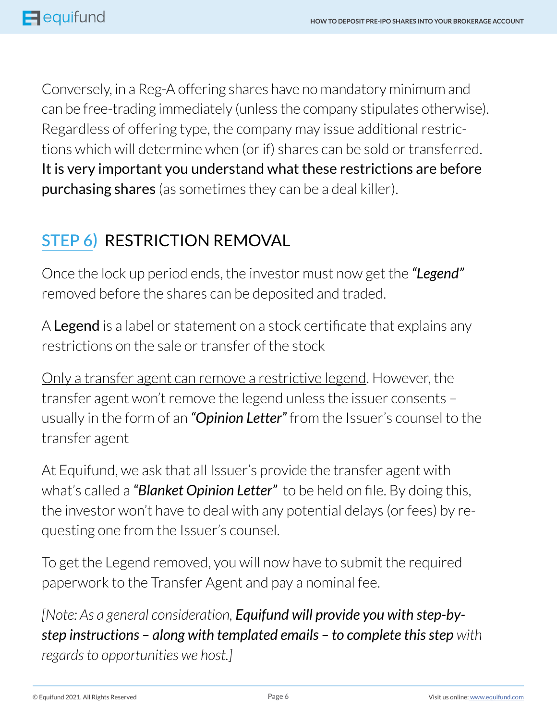Conversely, in a Reg-A offering shares have no mandatory minimum and can be free-trading immediately (unless the company stipulates otherwise). Regardless of offering type, the company may issue additional restrictions which will determine when (or if) shares can be sold or transferred. It is very important you understand what these restrictions are before purchasing shares (as sometimes they can be a deal killer).

## **STEP 6)** RESTRICTION REMOVAL

Once the lock up period ends, the investor must now get the *"Legend"*  removed before the shares can be deposited and traded.

A Legend is a label or statement on a stock certificate that explains any restrictions on the sale or transfer of the stock

Only a transfer agent can remove a restrictive legend. However, the transfer agent won't remove the legend unless the issuer consents – usually in the form of an *"Opinion Letter"* from the Issuer's counsel to the transfer agent

At Equifund, we ask that all Issuer's provide the transfer agent with what's called a *"Blanket Opinion Letter"* to be held on file. By doing this, the investor won't have to deal with any potential delays (or fees) by requesting one from the Issuer's counsel.

To get the Legend removed, you will now have to submit the required paperwork to the Transfer Agent and pay a nominal fee.

*[Note: As a general consideration, Equifund will provide you with step-bystep instructions – along with templated emails – to complete this step with regards to opportunities we host.]*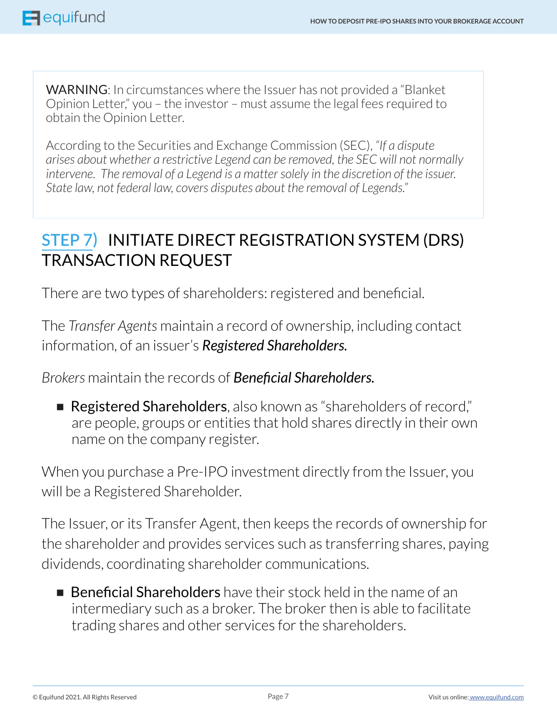WARNING: In circumstances where the Issuer has not provided a "Blanket Opinion Letter," you – the investor – must assume the legal fees required to obtain the Opinion Letter.

According to the Securities and Exchange Commission (SEC), *"If a dispute arises about whether a restrictive Legend can be removed, the SEC will not normally intervene. The removal of a Legend is a matter solely in the discretion of the issuer. State law, not federal law, covers disputes about the removal of Legends."*

#### **STEP 7)** INITIATE DIRECT REGISTRATION SYSTEM (DRS) TRANSACTION REQUEST

There are two types of shareholders: registered and beneficial.

The *Transfer Agents* maintain a record of ownership, including contact information, of an issuer's *Registered Shareholders.*

*Brokers* maintain the records of *Beneficial Shareholders.*

■ Registered Shareholders, also known as "shareholders of record," are people, groups or entities that hold shares directly in their own name on the company register.

When you purchase a Pre-IPO investment directly from the Issuer, you will be a Registered Shareholder.

The Issuer, or its Transfer Agent, then keeps the records of ownership for the shareholder and provides services such as transferring shares, paying dividends, coordinating shareholder communications.

■ Beneficial Shareholders have their stock held in the name of an intermediary such as a broker. The broker then is able to facilitate trading shares and other services for the shareholders.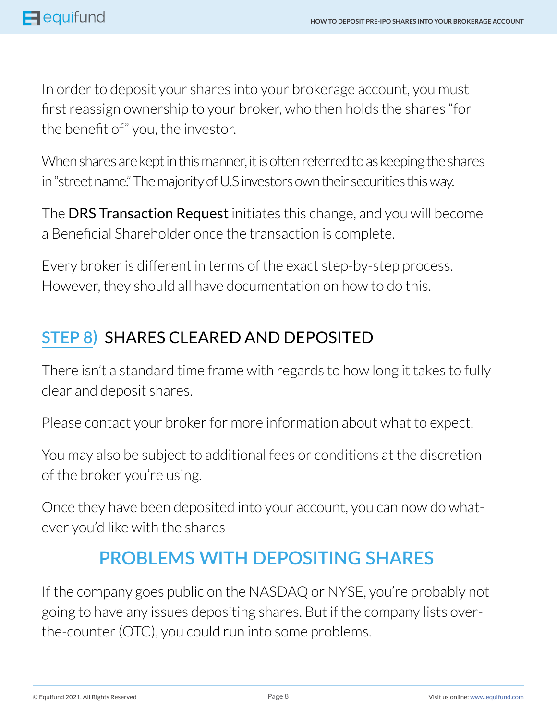In order to deposit your shares into your brokerage account, you must first reassign ownership to your broker, who then holds the shares "for the benefit of" you, the investor.

When shares are kept in this manner, it is often referred to as keeping the shares in "street name." The majority of U.S investors own their securities this way.

The DRS Transaction Request initiates this change, and you will become a Beneficial Shareholder once the transaction is complete.

Every broker is different in terms of the exact step-by-step process. However, they should all have documentation on how to do this.

## **STEP 8)** SHARES CLEARED AND DEPOSITED

There isn't a standard time frame with regards to how long it takes to fully clear and deposit shares.

Please contact your broker for more information about what to expect.

You may also be subject to additional fees or conditions at the discretion of the broker you're using.

Once they have been deposited into your account, you can now do whatever you'd like with the shares

## **PROBLEMS WITH DEPOSITING SHARES**

If the company goes public on the NASDAQ or NYSE, you're probably not going to have any issues depositing shares. But if the company lists overthe-counter (OTC), you could run into some problems.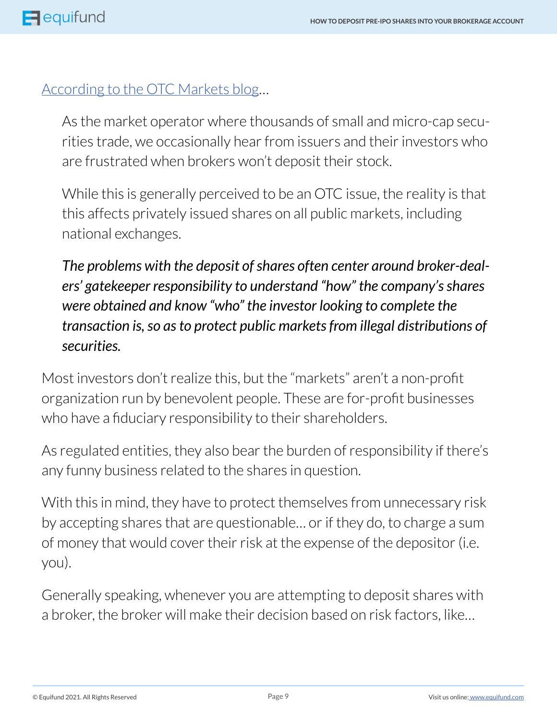#### [According to the OTC Markets blog…](mailto:https://blog.otcmarkets.com/2018/04/09/why-cant-i-deposit-my-shares/?subject=)

As the market operator where thousands of small and micro-cap securities trade, we occasionally hear from issuers and their investors who are frustrated when brokers won't deposit their stock.

While this is generally perceived to be an OTC issue, the reality is that this affects privately issued shares on all public markets, including national exchanges.

*The problems with the deposit of shares often center around broker-dealers' gatekeeper responsibility to understand "how" the company's shares were obtained and know "who" the investor looking to complete the transaction is, so as to protect public markets from illegal distributions of securities.*

Most investors don't realize this, but the "markets" aren't a non-profit organization run by benevolent people. These are for-profit businesses who have a fiduciary responsibility to their shareholders.

As regulated entities, they also bear the burden of responsibility if there's any funny business related to the shares in question.

With this in mind, they have to protect themselves from unnecessary risk by accepting shares that are questionable… or if they do, to charge a sum of money that would cover their risk at the expense of the depositor (i.e. you).

Generally speaking, whenever you are attempting to deposit shares with a broker, the broker will make their decision based on risk factors, like…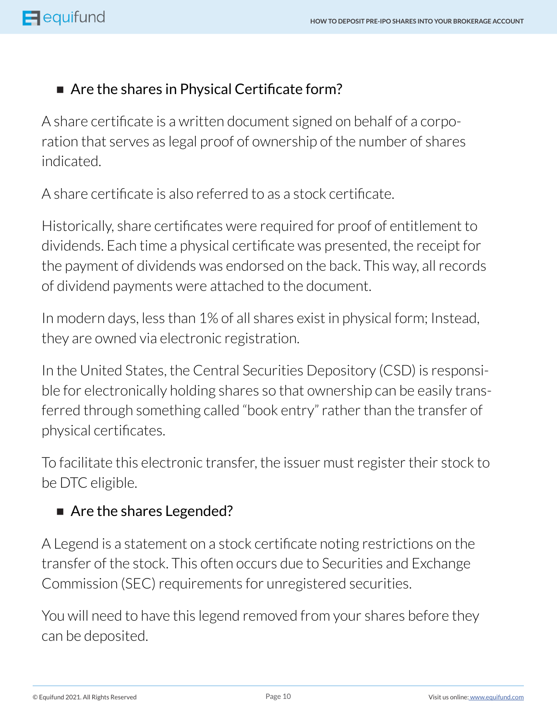#### ■ Are the shares in Physical Certificate form?

A share certificate is a written document signed on behalf of a corporation that serves as legal proof of ownership of the number of shares indicated.

A share certificate is also referred to as a stock certificate.

Historically, share certificates were required for proof of entitlement to dividends. Each time a physical certificate was presented, the receipt for the payment of dividends was endorsed on the back. This way, all records of dividend payments were attached to the document.

In modern days, less than 1% of all shares exist in physical form; Instead, they are owned via electronic registration.

In the United States, the Central Securities Depository (CSD) is responsible for electronically holding shares so that ownership can be easily transferred through something called "book entry" rather than the transfer of physical certificates.

To facilitate this electronic transfer, the issuer must register their stock to be DTC eligible.

#### ■ Are the shares Legended?

A Legend is a statement on a stock certificate noting restrictions on the transfer of the stock. This often occurs due to Securities and Exchange Commission (SEC) requirements for unregistered securities.

You will need to have this legend removed from your shares before they can be deposited.

© Equifund 2021. All Rights Reserved Visit us online: [www.equifund.com](http://equifund.com)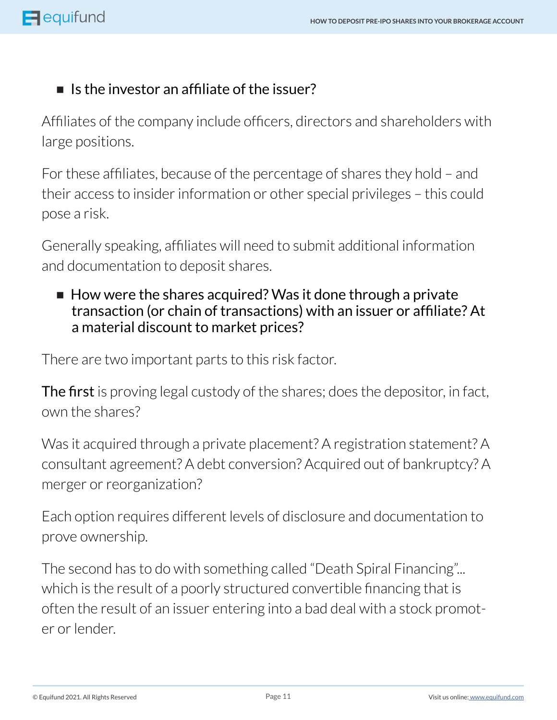#### ■ Is the investor an affiliate of the issuer?

Affiliates of the company include officers, directors and shareholders with large positions.

For these affiliates, because of the percentage of shares they hold – and their access to insider information or other special privileges – this could pose a risk.

Generally speaking, affiliates will need to submit additional information and documentation to deposit shares.

■ How were the shares acquired? Was it done through a private transaction (or chain of transactions) with an issuer or affiliate? At a material discount to market prices?

There are two important parts to this risk factor.

The first is proving legal custody of the shares; does the depositor, in fact, own the shares?

Was it acquired through a private placement? A registration statement? A consultant agreement? A debt conversion? Acquired out of bankruptcy? A merger or reorganization?

Each option requires different levels of disclosure and documentation to prove ownership.

The second has to do with something called "Death Spiral Financing"... which is the result of a poorly structured convertible financing that is often the result of an issuer entering into a bad deal with a stock promoter or lender.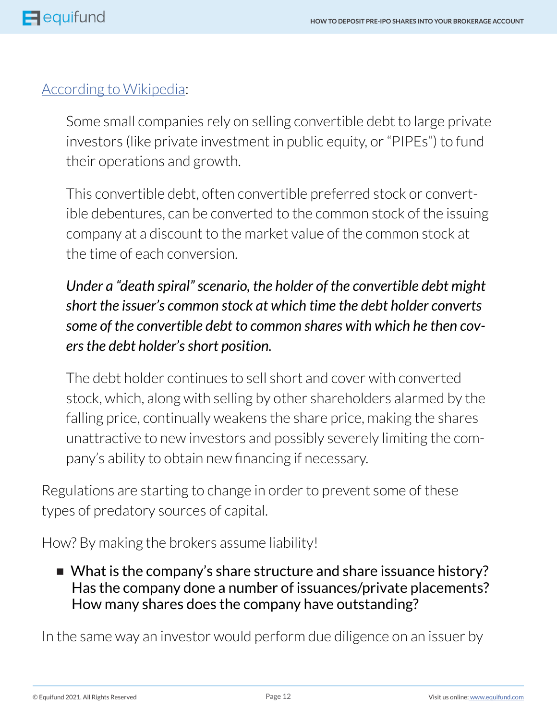#### [According to Wikipedia:](mailto:https://en.wikipedia.org/wiki/Death_spiral_financing?subject=)

Some small companies rely on selling convertible debt to large private investors (like private investment in public equity, or "PIPEs") to fund their operations and growth.

This convertible debt, often convertible preferred stock or convertible debentures, can be converted to the common stock of the issuing company at a discount to the market value of the common stock at the time of each conversion.

#### *Under a "death spiral" scenario, the holder of the convertible debt might short the issuer's common stock at which time the debt holder converts some of the convertible debt to common shares with which he then covers the debt holder's short position.*

The debt holder continues to sell short and cover with converted stock, which, along with selling by other shareholders alarmed by the falling price, continually weakens the share price, making the shares unattractive to new investors and possibly severely limiting the company's ability to obtain new financing if necessary.

Regulations are starting to change in order to prevent some of these types of predatory sources of capital.

How? By making the brokers assume liability!

■ What is the company's share structure and share issuance history? Has the company done a number of issuances/private placements? How many shares does the company have outstanding?

In the same way an investor would perform due diligence on an issuer by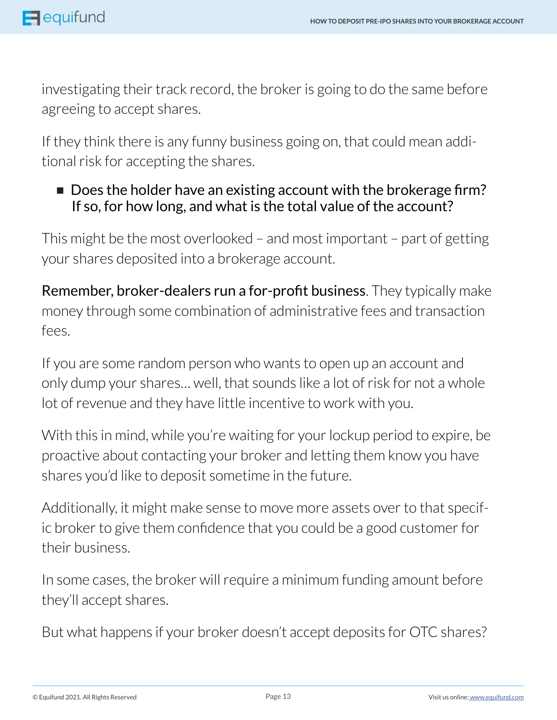investigating their track record, the broker is going to do the same before agreeing to accept shares.

If they think there is any funny business going on, that could mean additional risk for accepting the shares.

■ Does the holder have an existing account with the brokerage firm? If so, for how long, and what is the total value of the account?

This might be the most overlooked – and most important – part of getting your shares deposited into a brokerage account.

Remember, broker-dealers run a for-profit business. They typically make money through some combination of administrative fees and transaction fees.

If you are some random person who wants to open up an account and only dump your shares… well, that sounds like a lot of risk for not a whole lot of revenue and they have little incentive to work with you.

With this in mind, while you're waiting for your lockup period to expire, be proactive about contacting your broker and letting them know you have shares you'd like to deposit sometime in the future.

Additionally, it might make sense to move more assets over to that specific broker to give them confidence that you could be a good customer for their business.

In some cases, the broker will require a minimum funding amount before they'll accept shares.

But what happens if your broker doesn't accept deposits for OTC shares?

© Equifund 2021. All Rights Reserved Visit us online: [www.equifund.com](http://equifund.com)